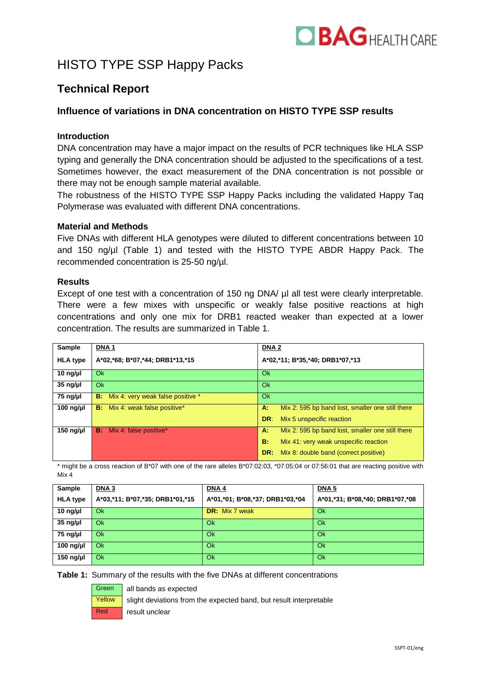

# HISTO TYPE SSP Happy Packs

## **Technical Report**

### **Influence of variations in DNA concentration on HISTO TYPE SSP results**

#### **Introduction**

DNA concentration may have a major impact on the results of PCR techniques like HLA SSP typing and generally the DNA concentration should be adjusted to the specifications of a test. Sometimes however, the exact measurement of the DNA concentration is not possible or there may not be enough sample material available.

The robustness of the HISTO TYPE SSP Happy Packs including the validated Happy Taq Polymerase was evaluated with different DNA concentrations.

#### **Material and Methods**

Five DNAs with different HLA genotypes were diluted to different concentrations between 10 and 150 ng/µl (Table 1) and tested with the HISTO TYPE ABDR Happy Pack. The recommended concentration is 25-50 ng/µl.

#### **Results**

Except of one test with a concentration of 150 ng DNA/  $\mu$ l all test were clearly interpretable. There were a few mixes with unspecific or weakly false positive reactions at high concentrations and only one mix for DRB1 reacted weaker than expected at a lower concentration. The results are summarized in Table 1.

| Sample             | <b>DNA1</b>                                 | <b>DNA2</b>                                            |  |
|--------------------|---------------------------------------------|--------------------------------------------------------|--|
| <b>HLA type</b>    | A*02,*68; B*07,*44; DRB1*13,*15             | A*02,*11; B*35,*40; DRB1*07,*13                        |  |
| 10 $\frac{10}{10}$ | Ok.                                         | Ok                                                     |  |
| $35$ ng/µl         | <b>Ok</b>                                   | Ok                                                     |  |
| 75 ng/µl           | <b>B:</b> Mix 4: very weak false positive * | Ok                                                     |  |
| 100 ng/ $\mu$      | <b>B:</b> Mix 4: weak false positive*       | Mix 2: 595 bp band lost, smaller one still there<br>A. |  |
|                    |                                             | DR:<br>Mix 5 unspecific reaction                       |  |
| 150 ng/ $\mu$      | <b>B:</b> Mix 4: false positive*            | Mix 2: 595 bp band lost, smaller one still there<br>A. |  |
|                    |                                             | B.<br>Mix 41: very weak unspecific reaction            |  |
|                    |                                             | Mix 8: double band (correct positive)<br>DR:           |  |

\* might be a cross reaction of B\*07 with one of the rare alleles B\*07:02:03, \*07:05:04 or 07:56:01 that are reacting positive with Mix 4

| <b>Sample</b>   | DNA <sub>3</sub>                | DNA4                            | <b>DNA 5</b>                    |
|-----------------|---------------------------------|---------------------------------|---------------------------------|
| <b>HLA</b> type | A*03,*11; B*07,*35; DRB1*01,*15 | A*01,*01; B*08,*37; DRB1*03,*04 | A*01,*31; B*08,*40; DRB1*07,*08 |
| $10$ ng/µl      | <b>Ok</b>                       | <b>DR:</b> Mix 7 weak           | Ok                              |
| $35$ ng/µl      | <b>Ok</b>                       | Ok                              | Ok                              |
| 75 ng/µl        | <b>Ok</b>                       | Ok                              | Ok                              |
| $100$ ng/µl     | <b>Ok</b>                       | Ok                              | Ok                              |
| $150$ ng/µl     | <b>Ok</b>                       | Ok                              | Ok                              |

**Table 1:** Summary of the results with the five DNAs at different concentrations



 $\frac{Yellow}{I}$  slight deviations from the expected band, but result interpretable Red **result unclear**